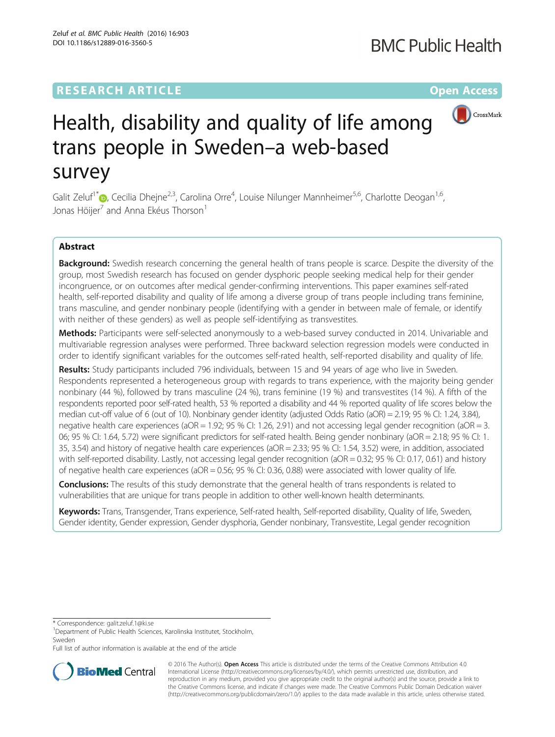Zeluf et al. BMC Public Health (2016) 16:903

DOI 10.1186/s12889-016-3560-5



# Health, disability and quality of life among trans people in Sweden–a web-based survey

Galit Zeluf<sup>1[\\*](http://orcid.org/0000-0001-6715-1792)</sup> D, Cecilia Dhejne<sup>2,3</sup>, Carolina Orre<sup>4</sup>, Louise Nilunger Mannheimer<sup>5,6</sup>, Charlotte Deogan<sup>1,6</sup>, Jonas Höijer<sup>7</sup> and Anna Ekéus Thorson<sup>1</sup>

## Abstract

Background: Swedish research concerning the general health of trans people is scarce. Despite the diversity of the group, most Swedish research has focused on gender dysphoric people seeking medical help for their gender incongruence, or on outcomes after medical gender-confirming interventions. This paper examines self-rated health, self-reported disability and quality of life among a diverse group of trans people including trans feminine, trans masculine, and gender nonbinary people (identifying with a gender in between male of female, or identify with neither of these genders) as well as people self-identifying as transvestites.

Methods: Participants were self-selected anonymously to a web-based survey conducted in 2014. Univariable and multivariable regression analyses were performed. Three backward selection regression models were conducted in order to identify significant variables for the outcomes self-rated health, self-reported disability and quality of life.

Results: Study participants included 796 individuals, between 15 and 94 years of age who live in Sweden. Respondents represented a heterogeneous group with regards to trans experience, with the majority being gender nonbinary (44 %), followed by trans masculine (24 %), trans feminine (19 %) and transvestites (14 %). A fifth of the respondents reported poor self-rated health, 53 % reported a disability and 44 % reported quality of life scores below the median cut-off value of 6 (out of 10). Nonbinary gender identity (adjusted Odds Ratio (aOR) = 2.19; 95 % CI: 1.24, 3.84), negative health care experiences (aOR = 1.92; 95 % CI: 1.26, 2.91) and not accessing legal gender recognition (aOR = 3. 06; 95 % CI: 1.64, 5.72) were significant predictors for self-rated health. Being gender nonbinary (aOR = 2.18; 95 % CI: 1. 35, 3.54) and history of negative health care experiences (aOR = 2.33; 95 % CI: 1.54, 3.52) were, in addition, associated with self-reported disability. Lastly, not accessing legal gender recognition (aOR = 0.32; 95 % CI: 0.17, 0.61) and history of negative health care experiences (aOR = 0.56; 95 % CI: 0.36, 0.88) were associated with lower quality of life.

**Conclusions:** The results of this study demonstrate that the general health of trans respondents is related to vulnerabilities that are unique for trans people in addition to other well-known health determinants.

Keywords: Trans, Transgender, Trans experience, Self-rated health, Self-reported disability, Quality of life, Sweden, Gender identity, Gender expression, Gender dysphoria, Gender nonbinary, Transvestite, Legal gender recognition

\* Correspondence: [galit.zeluf.1@ki.se](mailto:galit.zeluf.1@ki.se) <sup>1</sup>

<sup>1</sup>Department of Public Health Sciences, Karolinska Institutet, Stockholm, Sweden

Full list of author information is available at the end of the article



© 2016 The Author(s). Open Access This article is distributed under the terms of the Creative Commons Attribution 4.0 International License [\(http://creativecommons.org/licenses/by/4.0/](http://creativecommons.org/licenses/by/4.0/)), which permits unrestricted use, distribution, and reproduction in any medium, provided you give appropriate credit to the original author(s) and the source, provide a link to the Creative Commons license, and indicate if changes were made. The Creative Commons Public Domain Dedication waiver [\(http://creativecommons.org/publicdomain/zero/1.0/](http://creativecommons.org/publicdomain/zero/1.0/)) applies to the data made available in this article, unless otherwise stated.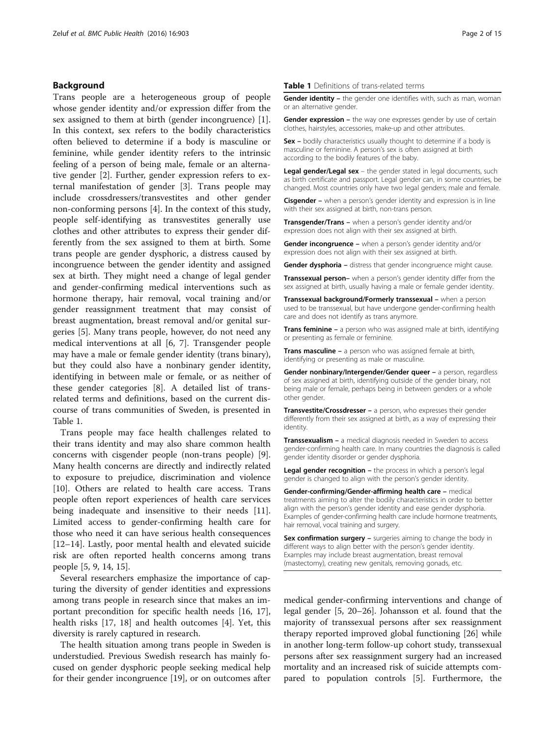## Background

Trans people are a heterogeneous group of people whose gender identity and/or expression differ from the sex assigned to them at birth (gender incongruence) [\[1](#page-13-0)]. In this context, sex refers to the bodily characteristics often believed to determine if a body is masculine or feminine, while gender identity refers to the intrinsic feeling of a person of being male, female or an alternative gender [\[2\]](#page-13-0). Further, gender expression refers to external manifestation of gender [\[3](#page-13-0)]. Trans people may include crossdressers/transvestites and other gender non-conforming persons [[4\]](#page-13-0). In the context of this study, people self-identifying as transvestites generally use clothes and other attributes to express their gender differently from the sex assigned to them at birth. Some trans people are gender dysphoric, a distress caused by incongruence between the gender identity and assigned sex at birth. They might need a change of legal gender and gender-confirming medical interventions such as hormone therapy, hair removal, vocal training and/or gender reassignment treatment that may consist of breast augmentation, breast removal and/or genital surgeries [[5\]](#page-13-0). Many trans people, however, do not need any medical interventions at all [[6, 7\]](#page-13-0). Transgender people may have a male or female gender identity (trans binary), but they could also have a nonbinary gender identity, identifying in between male or female, or as neither of these gender categories [\[8](#page-13-0)]. A detailed list of transrelated terms and definitions, based on the current discourse of trans communities of Sweden, is presented in Table 1.

Trans people may face health challenges related to their trans identity and may also share common health concerns with cisgender people (non-trans people) [\[9](#page-13-0)]. Many health concerns are directly and indirectly related to exposure to prejudice, discrimination and violence [[10\]](#page-13-0). Others are related to health care access. Trans people often report experiences of health care services being inadequate and insensitive to their needs [\[11](#page-13-0)]. Limited access to gender-confirming health care for those who need it can have serious health consequences [[12](#page-13-0)–[14](#page-14-0)]. Lastly, poor mental health and elevated suicide risk are often reported health concerns among trans people [[5, 9,](#page-13-0) [14, 15](#page-14-0)].

Several researchers emphasize the importance of capturing the diversity of gender identities and expressions among trans people in research since that makes an important precondition for specific health needs [\[16, 17](#page-14-0)], health risks [\[17](#page-14-0), [18](#page-14-0)] and health outcomes [\[4](#page-13-0)]. Yet, this diversity is rarely captured in research.

The health situation among trans people in Sweden is understudied. Previous Swedish research has mainly focused on gender dysphoric people seeking medical help for their gender incongruence [[19\]](#page-14-0), or on outcomes after

#### Table 1 Definitions of trans-related terms

Gender identity – the gender one identifies with, such as man, woman or an alternative gender.

Gender expression - the way one expresses gender by use of certain clothes, hairstyles, accessories, make-up and other attributes.

Sex - bodily characteristics usually thought to determine if a body is masculine or feminine. A person's sex is often assigned at birth according to the bodily features of the baby.

Legal gender/Legal sex - the gender stated in legal documents, such as birth certificate and passport. Legal gender can, in some countries, be changed. Most countries only have two legal genders; male and female.

Cisgender – when a person's gender identity and expression is in line with their sex assigned at birth, non-trans person.

Transgender/Trans - when a person's gender identity and/or expression does not align with their sex assigned at birth.

Gender incongruence – when a person's gender identity and/or expression does not align with their sex assigned at birth.

Gender dysphoria - distress that gender incongruence might cause.

Transsexual person- when a person's gender identity differ from the sex assigned at birth, usually having a male or female gender identity.

Transsexual background/Formerly transsexual – when a person used to be transsexual, but have undergone gender-confirming health care and does not identify as trans anymore.

**Trans feminine –** a person who was assigned male at birth, identifying or presenting as female or feminine.

Trans masculine - a person who was assigned female at birth, identifying or presenting as male or masculine.

Gender nonbinary/Intergender/Gender queer - a person, regardless of sex assigned at birth, identifying outside of the gender binary, not being male or female, perhaps being in between genders or a whole other gender.

Transvestite/Crossdresser – a person, who expresses their gender differently from their sex assigned at birth, as a way of expressing their identity.

Transsexualism - a medical diagnosis needed in Sweden to access gender-confirming health care. In many countries the diagnosis is called gender identity disorder or gender dysphoria.

Legal gender recognition - the process in which a person's legal gender is changed to align with the person's gender identity.

Gender-confirming/Gender-affirming health care – medical treatments aiming to alter the bodily characteristics in order to better align with the person's gender identity and ease gender dysphoria. Examples of gender-confirming health care include hormone treatments, hair removal, vocal training and surgery.

Sex confirmation surgery - surgeries aiming to change the body in different ways to align better with the person's gender identity. Examples may include breast augmentation, breast removal (mastectomy), creating new genitals, removing gonads, etc.

medical gender-confirming interventions and change of legal gender [\[5](#page-13-0), [20](#page-14-0)–[26\]](#page-14-0). Johansson et al. found that the majority of transsexual persons after sex reassignment therapy reported improved global functioning [[26](#page-14-0)] while in another long-term follow-up cohort study, transsexual persons after sex reassignment surgery had an increased mortality and an increased risk of suicide attempts compared to population controls [\[5](#page-13-0)]. Furthermore, the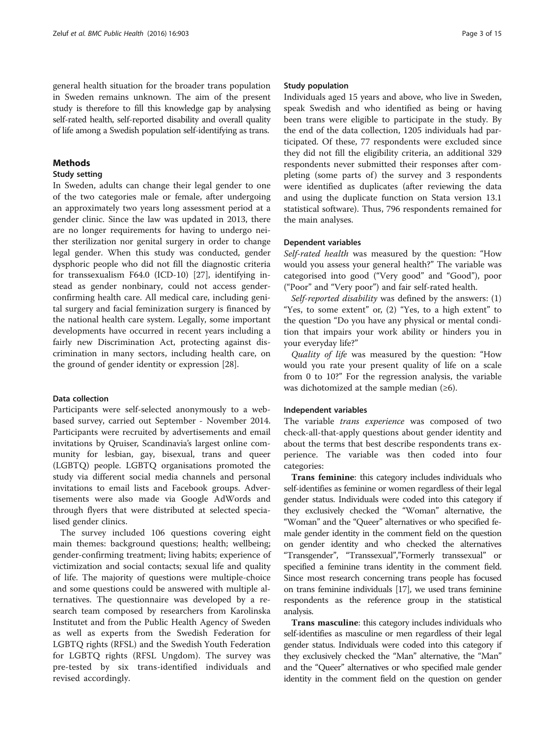general health situation for the broader trans population in Sweden remains unknown. The aim of the present study is therefore to fill this knowledge gap by analysing self-rated health, self-reported disability and overall quality of life among a Swedish population self-identifying as trans.

## Methods

## Study setting

In Sweden, adults can change their legal gender to one of the two categories male or female, after undergoing an approximately two years long assessment period at a gender clinic. Since the law was updated in 2013, there are no longer requirements for having to undergo neither sterilization nor genital surgery in order to change legal gender. When this study was conducted, gender dysphoric people who did not fill the diagnostic criteria for transsexualism F64.0 (ICD-10) [[27](#page-14-0)], identifying instead as gender nonbinary, could not access genderconfirming health care. All medical care, including genital surgery and facial feminization surgery is financed by the national health care system. Legally, some important developments have occurred in recent years including a fairly new Discrimination Act, protecting against discrimination in many sectors, including health care, on the ground of gender identity or expression [\[28](#page-14-0)].

## Data collection

Participants were self-selected anonymously to a webbased survey, carried out September - November 2014. Participants were recruited by advertisements and email invitations by Qruiser, Scandinavia's largest online community for lesbian, gay, bisexual, trans and queer (LGBTQ) people. LGBTQ organisations promoted the study via different social media channels and personal invitations to email lists and Facebook groups. Advertisements were also made via Google AdWords and through flyers that were distributed at selected specialised gender clinics.

The survey included 106 questions covering eight main themes: background questions; health; wellbeing; gender-confirming treatment; living habits; experience of victimization and social contacts; sexual life and quality of life. The majority of questions were multiple-choice and some questions could be answered with multiple alternatives. The questionnaire was developed by a research team composed by researchers from Karolinska Institutet and from the Public Health Agency of Sweden as well as experts from the Swedish Federation for LGBTQ rights (RFSL) and the Swedish Youth Federation for LGBTQ rights (RFSL Ungdom). The survey was pre-tested by six trans-identified individuals and revised accordingly.

#### Study population

Individuals aged 15 years and above, who live in Sweden, speak Swedish and who identified as being or having been trans were eligible to participate in the study. By the end of the data collection, 1205 individuals had participated. Of these, 77 respondents were excluded since they did not fill the eligibility criteria, an additional 329 respondents never submitted their responses after completing (some parts of) the survey and 3 respondents were identified as duplicates (after reviewing the data and using the duplicate function on Stata version 13.1 statistical software). Thus, 796 respondents remained for the main analyses.

#### Dependent variables

Self-rated health was measured by the question: "How would you assess your general health?" The variable was categorised into good ("Very good" and "Good"), poor ("Poor" and "Very poor") and fair self-rated health.

Self-reported disability was defined by the answers: (1) "Yes, to some extent" or, (2) "Yes, to a high extent" to the question "Do you have any physical or mental condition that impairs your work ability or hinders you in your everyday life?"

Quality of life was measured by the question: "How would you rate your present quality of life on a scale from 0 to 10?" For the regression analysis, the variable was dichotomized at the sample median  $(\geq 6)$ .

#### Independent variables

The variable trans experience was composed of two check-all-that-apply questions about gender identity and about the terms that best describe respondents trans experience. The variable was then coded into four categories:

Trans feminine: this category includes individuals who self-identifies as feminine or women regardless of their legal gender status. Individuals were coded into this category if they exclusively checked the "Woman" alternative, the "Woman" and the "Queer" alternatives or who specified female gender identity in the comment field on the question on gender identity and who checked the alternatives "Transgender", "Transsexual","Formerly transsexual" or specified a feminine trans identity in the comment field. Since most research concerning trans people has focused on trans feminine individuals [[17\]](#page-14-0), we used trans feminine respondents as the reference group in the statistical analysis.

Trans masculine: this category includes individuals who self-identifies as masculine or men regardless of their legal gender status. Individuals were coded into this category if they exclusively checked the "Man" alternative, the "Man" and the "Queer" alternatives or who specified male gender identity in the comment field on the question on gender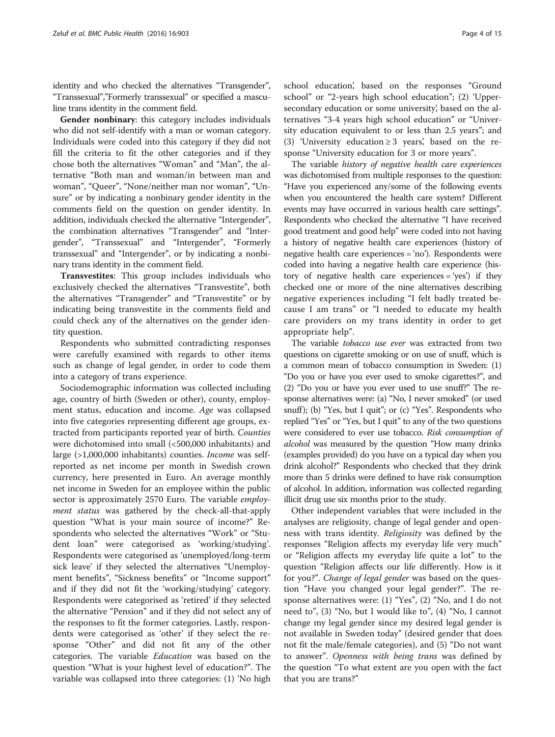identity and who checked the alternatives "Transgender", "Transsexual","Formerly transsexual" or specified a masculine trans identity in the comment field.

Gender nonbinary: this category includes individuals who did not self-identify with a man or woman category. Individuals were coded into this category if they did not fill the criteria to fit the other categories and if they chose both the alternatives "Woman" and "Man", the alternative "Both man and woman/in between man and woman", "Queer", "None/neither man nor woman", "Unsure" or by indicating a nonbinary gender identity in the comments field on the question on gender identity. In addition, individuals checked the alternative "Intergender", the combination alternatives "Transgender" and "Intergender", "Transsexual" and "Intergender", "Formerly transsexual" and "Intergender", or by indicating a nonbinary trans identity in the comment field.

Transvestites: This group includes individuals who exclusively checked the alternatives "Transvestite", both the alternatives "Transgender" and "Transvestite" or by indicating being transvestite in the comments field and could check any of the alternatives on the gender identity question.

Respondents who submitted contradicting responses were carefully examined with regards to other items such as change of legal gender, in order to code them into a category of trans experience.

Sociodemographic information was collected including age, country of birth (Sweden or other), county, employment status, education and income. Age was collapsed into five categories representing different age groups, extracted from participants reported year of birth. Counties were dichotomised into small (<500,000 inhabitants) and large (>1,000,000 inhabitants) counties. Income was selfreported as net income per month in Swedish crown currency, here presented in Euro. An average monthly net income in Sweden for an employee within the public sector is approximately 2570 Euro. The variable *employ*ment status was gathered by the check-all-that-apply question "What is your main source of income?" Respondents who selected the alternatives "Work" or "Student loan" were categorised as 'working/studying'. Respondents were categorised as 'unemployed/long-term sick leave' if they selected the alternatives "Unemployment benefits", "Sickness benefits" or "Income support" and if they did not fit the 'working/studying' category. Respondents were categorised as 'retired' if they selected the alternative "Pension" and if they did not select any of the responses to fit the former categories. Lastly, respondents were categorised as 'other' if they select the response "Other" and did not fit any of the other categories. The variable Education was based on the question "What is your highest level of education?". The variable was collapsed into three categories: (1) 'No high school education', based on the responses "Ground school" or "2-years high school education"; (2) 'Uppersecondary education or some university', based on the alternatives "3-4 years high school education" or "University education equivalent to or less than 2.5 years"; and (3) 'University education  $\geq$  3 years', based on the response "University education for 3 or more years".

The variable history of negative health care experiences was dichotomised from multiple responses to the question: "Have you experienced any/some of the following events when you encountered the health care system? Different events may have occurred in various health care settings". Respondents who checked the alternative "I have received good treatment and good help" were coded into not having a history of negative health care experiences (history of negative health care experiences = 'no'). Respondents were coded into having a negative health care experience (history of negative health care experiences = 'yes') if they checked one or more of the nine alternatives describing negative experiences including "I felt badly treated because I am trans" or "I needed to educate my health care providers on my trans identity in order to get appropriate help".

The variable tobacco use ever was extracted from two questions on cigarette smoking or on use of snuff, which is a common mean of tobacco consumption in Sweden: (1) "Do you or have you ever used to smoke cigarettes?", and (2) "Do you or have you ever used to use snuff?" The response alternatives were: (a) "No, I never smoked" (or used snuff); (b) "Yes, but I quit"; or (c) "Yes". Respondents who replied "Yes" or "Yes, but I quit" to any of the two questions were considered to ever use tobacco. Risk consumption of alcohol was measured by the question "How many drinks (examples provided) do you have on a typical day when you drink alcohol?" Respondents who checked that they drink more than 5 drinks were defined to have risk consumption of alcohol. In addition, information was collected regarding illicit drug use six months prior to the study.

Other independent variables that were included in the analyses are religiosity, change of legal gender and openness with trans identity. Religiosity was defined by the responses "Religion affects my everyday life very much" or "Religion affects my everyday life quite a lot" to the question "Religion affects our life differently. How is it for you?". Change of legal gender was based on the question "Have you changed your legal gender?". The response alternatives were: (1) "Yes", (2) "No, and I do not need to", (3) "No, but I would like to", (4) "No, I cannot change my legal gender since my desired legal gender is not available in Sweden today" (desired gender that does not fit the male/female categories), and (5) "Do not want to answer". Openness with being trans was defined by the question "To what extent are you open with the fact that you are trans?"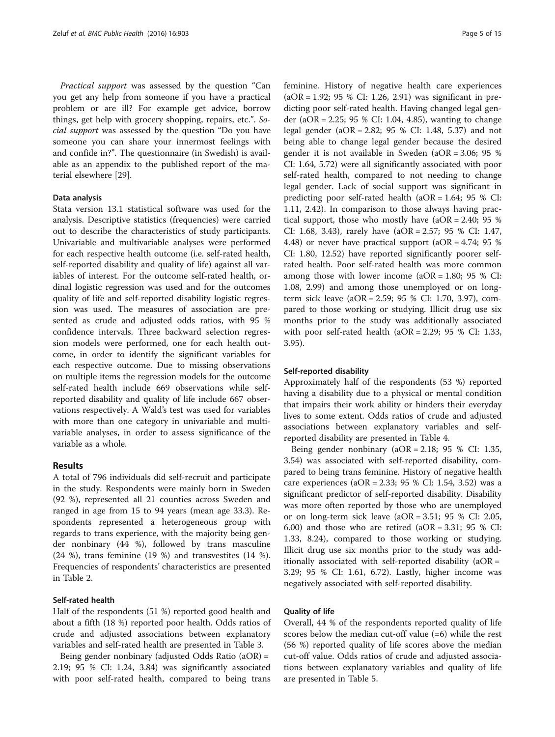Practical support was assessed by the question "Can you get any help from someone if you have a practical problem or are ill? For example get advice, borrow things, get help with grocery shopping, repairs, etc.". Social support was assessed by the question "Do you have someone you can share your innermost feelings with and confide in?". The questionnaire (in Swedish) is available as an appendix to the published report of the material elsewhere [\[29](#page-14-0)].

#### Data analysis

Stata version 13.1 statistical software was used for the analysis. Descriptive statistics (frequencies) were carried out to describe the characteristics of study participants. Univariable and multivariable analyses were performed for each respective health outcome (i.e. self-rated health, self-reported disability and quality of life) against all variables of interest. For the outcome self-rated health, ordinal logistic regression was used and for the outcomes quality of life and self-reported disability logistic regression was used. The measures of association are presented as crude and adjusted odds ratios, with 95 % confidence intervals. Three backward selection regression models were performed, one for each health outcome, in order to identify the significant variables for each respective outcome. Due to missing observations on multiple items the regression models for the outcome self-rated health include 669 observations while selfreported disability and quality of life include 667 observations respectively. A Wald's test was used for variables with more than one category in univariable and multivariable analyses, in order to assess significance of the variable as a whole.

## Results

A total of 796 individuals did self-recruit and participate in the study. Respondents were mainly born in Sweden (92 %), represented all 21 counties across Sweden and ranged in age from 15 to 94 years (mean age 33.3). Respondents represented a heterogeneous group with regards to trans experience, with the majority being gender nonbinary (44 %), followed by trans masculine (24 %), trans feminine (19 %) and transvestites (14 %). Frequencies of respondents' characteristics are presented in Table [2.](#page-5-0)

## Self-rated health

Half of the respondents (51 %) reported good health and about a fifth (18 %) reported poor health. Odds ratios of crude and adjusted associations between explanatory variables and self-rated health are presented in Table [3.](#page-6-0)

Being gender nonbinary (adjusted Odds Ratio (aOR) = 2.19; 95 % CI: 1.24, 3.84) was significantly associated with poor self-rated health, compared to being trans feminine. History of negative health care experiences (aOR = 1.92; 95 % CI: 1.26, 2.91) was significant in predicting poor self-rated health. Having changed legal gender (aOR = 2.25; 95 % CI: 1.04, 4.85), wanting to change legal gender (aOR = 2.82; 95 % CI: 1.48, 5.37) and not being able to change legal gender because the desired gender it is not available in Sweden (aOR = 3.06; 95 % CI: 1.64, 5.72) were all significantly associated with poor self-rated health, compared to not needing to change legal gender. Lack of social support was significant in predicting poor self-rated health ( $aOR = 1.64$ ; 95 % CI: 1.11, 2.42). In comparison to those always having practical support, those who mostly have  $(aOR = 2.40; 95 \%)$ CI: 1.68, 3.43), rarely have (aOR = 2.57; 95 % CI: 1.47, 4.48) or never have practical support ( $aOR = 4.74$ ; 95 % CI: 1.80, 12.52) have reported significantly poorer selfrated health. Poor self-rated health was more common among those with lower income  $(aOR = 1.80; 95 %$  CI: 1.08, 2.99) and among those unemployed or on longterm sick leave (aOR = 2.59; 95 % CI: 1.70, 3.97), compared to those working or studying. Illicit drug use six months prior to the study was additionally associated with poor self-rated health  $(aOR = 2.29; 95 % CI: 1.33,$ 3.95).

## Self-reported disability

Approximately half of the respondents (53 %) reported having a disability due to a physical or mental condition that impairs their work ability or hinders their everyday lives to some extent. Odds ratios of crude and adjusted associations between explanatory variables and selfreported disability are presented in Table [4.](#page-8-0)

Being gender nonbinary  $(aOR = 2.18; 95 %$  CI: 1.35, 3.54) was associated with self-reported disability, compared to being trans feminine. History of negative health care experiences (aOR = 2.33; 95 % CI: 1.54, 3.52) was a significant predictor of self-reported disability. Disability was more often reported by those who are unemployed or on long-term sick leave  $(aOR = 3.51; 95 % CI: 2.05,$ 6.00) and those who are retired  $(aOR = 3.31; 95 %$  CI: 1.33, 8.24), compared to those working or studying. Illicit drug use six months prior to the study was additionally associated with self-reported disability (aOR = 3.29; 95 % CI: 1.61, 6.72). Lastly, higher income was negatively associated with self-reported disability.

#### Quality of life

Overall, 44 % of the respondents reported quality of life scores below the median cut-off value (=6) while the rest (56 %) reported quality of life scores above the median cut-off value. Odds ratios of crude and adjusted associations between explanatory variables and quality of life are presented in Table [5.](#page-10-0)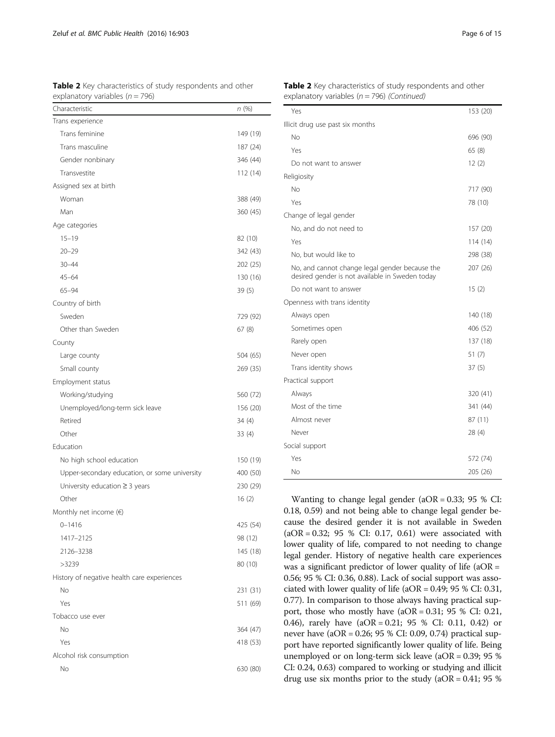| Characteristic                                | n(%)     |
|-----------------------------------------------|----------|
| Trans experience                              |          |
| Trans feminine                                | 149 (19) |
| Trans masculine                               | 187 (24) |
| Gender nonbinary                              | 346 (44) |
| Transvestite                                  | 112 (14) |
| Assigned sex at birth                         |          |
| Woman                                         | 388 (49) |
| Man                                           | 360 (45) |
| Age categories                                |          |
| $15 - 19$                                     | 82 (10)  |
| $20 - 29$                                     | 342 (43) |
| $30 - 44$                                     | 202 (25) |
| $45 - 64$                                     | 130 (16) |
| $65 - 94$                                     | 39 (5)   |
| Country of birth                              |          |
| Sweden                                        | 729 (92) |
| Other than Sweden                             | 67(8)    |
| County                                        |          |
| Large county                                  | 504 (65) |
| Small county                                  | 269 (35) |
| Employment status                             |          |
| Working/studying                              | 560 (72) |
| Unemployed/long-term sick leave               | 156 (20) |
| Retired                                       | 34(4)    |
| Other                                         | 33(4)    |
| Education                                     |          |
| No high school education                      | 150 (19) |
| Upper-secondary education, or some university | 400 (50) |
| University education $\geq$ 3 years           | 230 (29) |
| Other                                         | 16(2)    |
| Monthly net income (€)                        |          |
| 0-1416                                        | 425 (54) |
| 1417-2125                                     | 98 (12)  |
| 2126-3238                                     | 145 (18) |
| >3239                                         | 80 (10)  |
| History of negative health care experiences   |          |
| No                                            | 231 (31) |
| Yes                                           | 511 (69) |
| Tobacco use ever                              |          |
| No                                            | 364 (47) |
| Yes                                           | 418 (53) |
| Alcohol risk consumption                      |          |
| No                                            | 630 (80) |

<span id="page-5-0"></span>Table 2 Key characteristics of study respondents and other explanatory variables  $(n = 796)$ 

| <b>Table 2</b> Key characteristics of study respondents and other |  |
|-------------------------------------------------------------------|--|
| explanatory variables ( $n = 796$ ) (Continued)                   |  |

| Yes                                                                                               | 153 (20) |
|---------------------------------------------------------------------------------------------------|----------|
| Illicit drug use past six months                                                                  |          |
| No                                                                                                | 696 (90) |
| Yes                                                                                               | 65(8)    |
| Do not want to answer                                                                             | 12(2)    |
| Religiosity                                                                                       |          |
| No                                                                                                | 717 (90) |
| Yes                                                                                               | 78 (10)  |
| Change of legal gender                                                                            |          |
| No, and do not need to                                                                            | 157 (20) |
| Yes                                                                                               | 114(14)  |
| No, but would like to                                                                             | 298 (38) |
| No, and cannot change legal gender because the<br>desired gender is not available in Sweden today | 207 (26) |
| Do not want to answer                                                                             | 15(2)    |
| Openness with trans identity                                                                      |          |
| Always open                                                                                       | 140 (18) |
| Sometimes open                                                                                    | 406 (52) |
| Rarely open                                                                                       | 137 (18) |
| Never open                                                                                        | 51(7)    |
| Trans identity shows                                                                              | 37(5)    |
| Practical support                                                                                 |          |
| Always                                                                                            | 320 (41) |
| Most of the time                                                                                  | 341 (44) |
| Almost never                                                                                      | 87 (11)  |
| Never                                                                                             | 28(4)    |
| Social support                                                                                    |          |
| Yes                                                                                               | 572 (74) |
| No                                                                                                | 205 (26) |

Wanting to change legal gender (aOR = 0.33; 95 % CI: 0.18, 0.59) and not being able to change legal gender because the desired gender it is not available in Sweden  $(aOR = 0.32; 95 % CI: 0.17, 0.61)$  were associated with lower quality of life, compared to not needing to change legal gender. History of negative health care experiences was a significant predictor of lower quality of life (aOR = 0.56; 95 % CI: 0.36, 0.88). Lack of social support was associated with lower quality of life ( $aOR = 0.49$ ; 95 % CI: 0.31, 0.77). In comparison to those always having practical support, those who mostly have  $(aOR = 0.31; 95 %$  CI: 0.21, 0.46), rarely have (aOR = 0.21; 95 % CI: 0.11, 0.42) or never have (aOR = 0.26; 95 % CI: 0.09, 0.74) practical support have reported significantly lower quality of life. Being unemployed or on long-term sick leave (aOR = 0.39; 95 % CI: 0.24, 0.63) compared to working or studying and illicit drug use six months prior to the study (aOR = 0.41; 95 %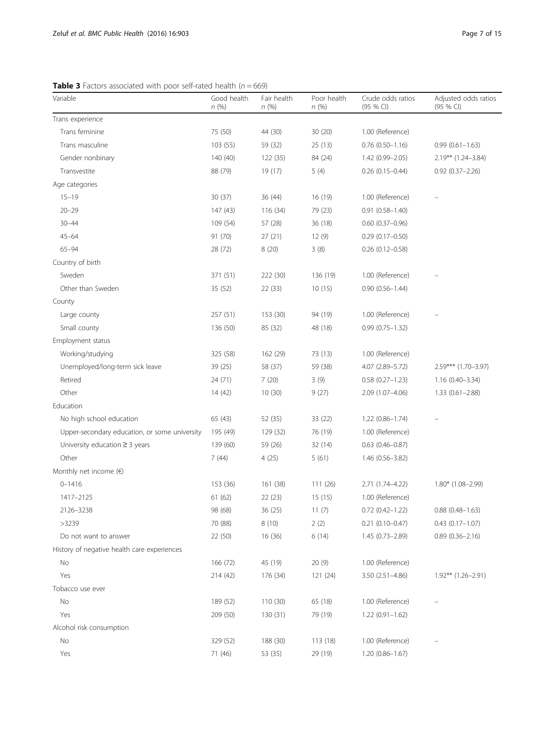<span id="page-6-0"></span>**Table 3** Factors associated with poor self-rated health ( $n = 669$ )

| Variable                                      | Good health<br>n(%) | Fair health<br>n(%) | Poor health<br>n(%) | Crude odds ratios<br>(95 % CI) | Adjusted odds ratios<br>(95 % CI) |
|-----------------------------------------------|---------------------|---------------------|---------------------|--------------------------------|-----------------------------------|
| Trans experience                              |                     |                     |                     |                                |                                   |
| Trans feminine                                | 75 (50)             | 44 (30)             | 30(20)              | 1.00 (Reference)               |                                   |
| Trans masculine                               | 103 (55)            | 59 (32)             | 25(13)              | $0.76$ $(0.50-1.16)$           | $0.99(0.61 - 1.63)$               |
| Gender nonbinary                              | 140 (40)            | 122 (35)            | 84 (24)             | 1.42 (0.99 - 2.05)             | $2.19***$ (1.24-3.84)             |
| Transvestite                                  | 88 (79)             | 19 (17)             | 5(4)                | $0.26$ $(0.15 - 0.44)$         | $0.92(0.37 - 2.26)$               |
| Age categories                                |                     |                     |                     |                                |                                   |
| $15 - 19$                                     | 30 (37)             | 36(44)              | 16 (19)             | 1.00 (Reference)               |                                   |
| $20 - 29$                                     | 147 (43)            | 116(34)             | 79 (23)             | $0.91(0.58 - 1.40)$            |                                   |
| $30 - 44$                                     | 109 (54)            | 57 (28)             | 36 (18)             | $0.60$ $(0.37-0.96)$           |                                   |
| $45 - 64$                                     | 91 (70)             | 27(21)              | 12(9)               | $0.29(0.17 - 0.50)$            |                                   |
| $65 - 94$                                     | 28 (72)             | 8(20)               | 3(8)                | $0.26$ $(0.12 - 0.58)$         |                                   |
| Country of birth                              |                     |                     |                     |                                |                                   |
| Sweden                                        | 371 (51)            | 222 (30)            | 136 (19)            | 1.00 (Reference)               |                                   |
| Other than Sweden                             | 35 (52)             | 22(33)              | 10(15)              | $0.90(0.56 - 1.44)$            |                                   |
| County                                        |                     |                     |                     |                                |                                   |
| Large county                                  | 257 (51)            | 153 (30)            | 94 (19)             | 1.00 (Reference)               |                                   |
| Small county                                  | 136 (50)            | 85 (32)             | 48 (18)             | $0.99(0.75 - 1.32)$            |                                   |
| Employment status                             |                     |                     |                     |                                |                                   |
| Working/studying                              | 325 (58)            | 162 (29)            | 73 (13)             | 1.00 (Reference)               |                                   |
| Unemployed/long-term sick leave               | 39 (25)             | 58 (37)             | 59 (38)             | 4.07 (2.89-5.72)               | $2.59***$ (1.70-3.97)             |
| Retired                                       | 24 (71)             | 7(20)               | 3(9)                | $0.58(0.27 - 1.23)$            | $1.16(0.40 - 3.34)$               |
| Other                                         | 14 (42)             | 10(30)              | 9(27)               | 2.09 (1.07-4.06)               | $1.33(0.61 - 2.88)$               |
| Education                                     |                     |                     |                     |                                |                                   |
| No high school education                      | 65 (43)             | 52 (35)             | 33 (22)             | $1.22(0.86 - 1.74)$            |                                   |
| Upper-secondary education, or some university | 195 (49)            | 129 (32)            | 76 (19)             | 1.00 (Reference)               |                                   |
| University education $\geq$ 3 years           | 139 (60)            | 59 (26)             | 32 (14)             | $0.63$ $(0.46 - 0.87)$         |                                   |
| Other                                         | 7(44)               | 4(25)               | 5(61)               | 1.46 (0.56-3.82)               |                                   |
| Monthly net income $(\epsilon)$               |                     |                     |                     |                                |                                   |
| $0 - 1416$                                    | 153 (36)            | 161 (38)            | 111(26)             | 2.71 (1.74-4.22)               | $1.80*$ (1.08-2.99)               |
| 1417-2125                                     | 61 (62)             | 22 (23)             | 15(15)              | 1.00 (Reference)               |                                   |
| 2126-3238                                     | 98 (68)             | 36 (25)             | 11(7)               | $0.72$ $(0.42 - 1.22)$         | $0.88$ $(0.48 - 1.63)$            |
| >3239                                         | 70 (88)             | 8(10)               | 2(2)                | $0.21(0.10-0.47)$              | $0.43(0.17 - 1.07)$               |
| Do not want to answer                         | 22 (50)             | 16(36)              | 6(14)               | 1.45 (0.73-2.89)               | $0.89(0.36 - 2.16)$               |
| History of negative health care experiences   |                     |                     |                     |                                |                                   |
| No                                            | 166 (72)            | 45 (19)             | 20(9)               | 1.00 (Reference)               |                                   |
| Yes                                           | 214 (42)            | 176 (34)            | 121(24)             | 3.50 (2.51-4.86)               | $1.92***$ $(1.26-2.91)$           |
| Tobacco use ever                              |                     |                     |                     |                                |                                   |
| No                                            | 189 (52)            | 110 (30)            | 65 (18)             | 1.00 (Reference)               |                                   |
| Yes                                           | 209 (50)            | 130 (31)            | 79 (19)             | $1.22(0.91 - 1.62)$            |                                   |
| Alcohol risk consumption                      |                     |                     |                     |                                |                                   |
| No                                            | 329 (52)            | 188 (30)            | 113(18)             | 1.00 (Reference)               |                                   |
| Yes                                           | 71 (46)             | 53 (35)             | 29 (19)             | $1.20(0.86 - 1.67)$            |                                   |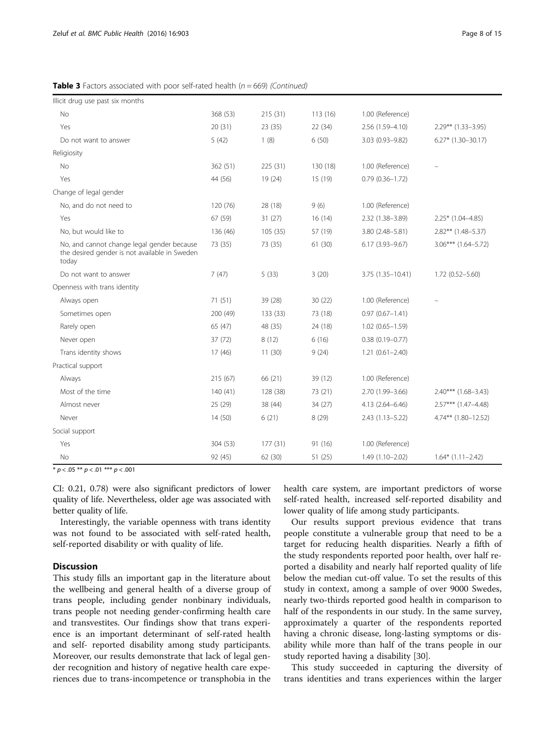**Table 3** Factors associated with poor self-rated health ( $n = 669$ ) (Continued)

| Illicit drug use past six months                                                                     |          |          |          |                     |                        |
|------------------------------------------------------------------------------------------------------|----------|----------|----------|---------------------|------------------------|
| No                                                                                                   | 368 (53) | 215(31)  | 113(16)  | 1.00 (Reference)    |                        |
| Yes                                                                                                  | 20(31)   | 23(35)   | 22(34)   | 2.56 (1.59-4.10)    | $2.29***$ (1.33-3.95)  |
| Do not want to answer                                                                                | 5(42)    | 1(8)     | 6(50)    | 3.03 (0.93-9.82)    | $6.27*$ $(1.30-30.17)$ |
| Religiosity                                                                                          |          |          |          |                     |                        |
| <b>No</b>                                                                                            | 362 (51) | 225 (31) | 130 (18) | 1.00 (Reference)    |                        |
| Yes                                                                                                  | 44 (56)  | 19(24)   | 15(19)   | $0.79(0.36 - 1.72)$ |                        |
| Change of legal gender                                                                               |          |          |          |                     |                        |
| No, and do not need to                                                                               | 120 (76) | 28 (18)  | 9(6)     | 1.00 (Reference)    |                        |
| Yes                                                                                                  | 67 (59)  | 31(27)   | 16(14)   | 2.32 (1.38-3.89)    | $2.25*$ (1.04-4.85)    |
| No, but would like to                                                                                | 136 (46) | 105(35)  | 57 (19)  | 3.80 (2.48-5.81)    | $2.82***$ (1.48-5.37)  |
| No, and cannot change legal gender because<br>the desired gender is not available in Sweden<br>today | 73 (35)  | 73 (35)  | 61(30)   | $6.17(3.93 - 9.67)$ | $3.06***$ (1.64-5.72)  |
| Do not want to answer                                                                                | 7(47)    | 5(33)    | 3(20)    | 3.75 (1.35-10.41)   | $1.72(0.52 - 5.60)$    |
| Openness with trans identity                                                                         |          |          |          |                     |                        |
| Always open                                                                                          | 71(51)   | 39 (28)  | 30(22)   | 1.00 (Reference)    |                        |
| Sometimes open                                                                                       | 200 (49) | 133 (33) | 73 (18)  | $0.97(0.67 - 1.41)$ |                        |
| Rarely open                                                                                          | 65 (47)  | 48 (35)  | 24 (18)  | $1.02(0.65 - 1.59)$ |                        |
| Never open                                                                                           | 37 (72)  | 8(12)    | 6(16)    | $0.38(0.19 - 0.77)$ |                        |
| Trans identity shows                                                                                 | 17(46)   | 11(30)   | 9(24)    | $1.21(0.61 - 2.40)$ |                        |
| Practical support                                                                                    |          |          |          |                     |                        |
| Always                                                                                               | 215 (67) | 66 (21)  | 39 (12)  | 1.00 (Reference)    |                        |
| Most of the time                                                                                     | 140(41)  | 128 (38) | 73 (21)  | 2.70 (1.99-3.66)    | $2.40***$ (1.68-3.43)  |
| Almost never                                                                                         | 25 (29)  | 38 (44)  | 34 (27)  | $4.13(2.64 - 6.46)$ | $2.57***$ (1.47-4.48)  |
| Never                                                                                                | 14(50)   | 6(21)    | 8(29)    | $2.43(1.13 - 5.22)$ | $4.74***$ (1.80-12.52) |
| Social support                                                                                       |          |          |          |                     |                        |
| Yes                                                                                                  | 304 (53) | 177(31)  | 91 (16)  | 1.00 (Reference)    |                        |
| No                                                                                                   | 92 (45)  | 62 (30)  | 51(25)   | 1.49 (1.10-2.02)    | $1.64*$ (1.11-2.42)    |

\*  $p < .05$  \*\*  $p < .01$  \*\*\*  $p < .001$ 

CI: 0.21, 0.78) were also significant predictors of lower quality of life. Nevertheless, older age was associated with better quality of life.

Interestingly, the variable openness with trans identity was not found to be associated with self-rated health, self-reported disability or with quality of life.

## **Discussion**

This study fills an important gap in the literature about the wellbeing and general health of a diverse group of trans people, including gender nonbinary individuals, trans people not needing gender-confirming health care and transvestites. Our findings show that trans experience is an important determinant of self-rated health and self- reported disability among study participants. Moreover, our results demonstrate that lack of legal gender recognition and history of negative health care experiences due to trans-incompetence or transphobia in the health care system, are important predictors of worse self-rated health, increased self-reported disability and lower quality of life among study participants.

Our results support previous evidence that trans people constitute a vulnerable group that need to be a target for reducing health disparities. Nearly a fifth of the study respondents reported poor health, over half reported a disability and nearly half reported quality of life below the median cut-off value. To set the results of this study in context, among a sample of over 9000 Swedes, nearly two-thirds reported good health in comparison to half of the respondents in our study. In the same survey, approximately a quarter of the respondents reported having a chronic disease, long-lasting symptoms or disability while more than half of the trans people in our study reported having a disability [[30\]](#page-14-0).

This study succeeded in capturing the diversity of trans identities and trans experiences within the larger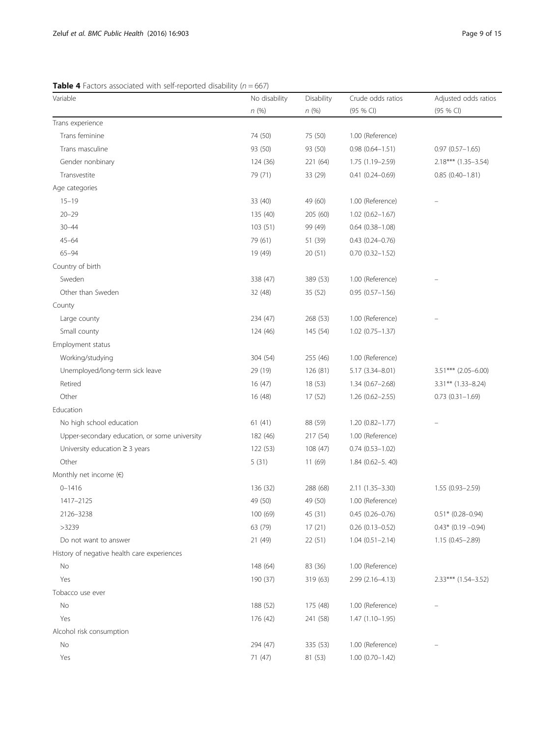<span id="page-8-0"></span>

| <b>Table 4</b> Factors associated with self-reported disability ( $n = 667$ ) |  |  |
|-------------------------------------------------------------------------------|--|--|
|                                                                               |  |  |

| Variable                                      | No disability | Disability | Crude odds ratios   | Adjusted odds ratios  |
|-----------------------------------------------|---------------|------------|---------------------|-----------------------|
|                                               | n(%)          | n (%)      | (95 % CI)           | (95 % CI)             |
| Trans experience                              |               |            |                     |                       |
| Trans feminine                                | 74 (50)       | 75 (50)    | 1.00 (Reference)    |                       |
| Trans masculine                               | 93 (50)       | 93 (50)    | $0.98(0.64 - 1.51)$ | $0.97(0.57-1.65)$     |
| Gender nonbinary                              | 124 (36)      | 221 (64)   | 1.75 (1.19 - 2.59)  | $2.18***$ (1.35-3.54) |
| Transvestite                                  | 79 (71)       | 33 (29)    | $0.41(0.24 - 0.69)$ | $0.85(0.40 - 1.81)$   |
| Age categories                                |               |            |                     |                       |
| $15 - 19$                                     | 33 (40)       | 49 (60)    | 1.00 (Reference)    |                       |
| $20 - 29$                                     | 135 (40)      | 205 (60)   | $1.02(0.62 - 1.67)$ |                       |
| $30 - 44$                                     | 103(51)       | 99 (49)    | $0.64(0.38 - 1.08)$ |                       |
| $45 - 64$                                     | 79 (61)       | 51 (39)    | $0.43(0.24 - 0.76)$ |                       |
| $65 - 94$                                     | 19 (49)       | 20(51)     | $0.70(0.32 - 1.52)$ |                       |
| Country of birth                              |               |            |                     |                       |
| Sweden                                        | 338 (47)      | 389 (53)   | 1.00 (Reference)    |                       |
| Other than Sweden                             | 32 (48)       | 35 (52)    | $0.95(0.57 - 1.56)$ |                       |
| County                                        |               |            |                     |                       |
| Large county                                  | 234 (47)      | 268 (53)   | 1.00 (Reference)    |                       |
| Small county                                  | 124 (46)      | 145 (54)   | $1.02(0.75 - 1.37)$ |                       |
| Employment status                             |               |            |                     |                       |
| Working/studying                              | 304 (54)      | 255 (46)   | 1.00 (Reference)    |                       |
| Unemployed/long-term sick leave               | 29 (19)       | 126 (81)   | 5.17 (3.34-8.01)    | $3.51***$ (2.05-6.00) |
| Retired                                       | 16(47)        | 18 (53)    | $1.34(0.67 - 2.68)$ | $3.31***$ (1.33-8.24) |
| Other                                         | 16(48)        | 17(52)     | $1.26(0.62 - 2.55)$ | $0.73(0.31-1.69)$     |
| Education                                     |               |            |                     |                       |
| No high school education                      | 61(41)        | 88 (59)    | $1.20(0.82 - 1.77)$ |                       |
| Upper-secondary education, or some university | 182 (46)      | 217 (54)   | 1.00 (Reference)    |                       |
| University education $\geq$ 3 years           | 122 (53)      | 108 (47)   | $0.74(0.53 - 1.02)$ |                       |
| Other                                         | 5(31)         | 11(69)     | $1.84(0.62 - 5.40)$ |                       |
| Monthly net income $(\in)$                    |               |            |                     |                       |
| $0 - 1416$                                    | 136 (32)      | 288 (68)   | 2.11 (1.35-3.30)    | 1.55 (0.93-2.59)      |
| 1417-2125                                     | 49 (50)       | 49 (50)    | 1.00 (Reference)    |                       |
| 2126-3238                                     | 100(69)       | 45 (31)    | $0.45(0.26 - 0.76)$ | $0.51*$ (0.28-0.94)   |
| >3239                                         | 63 (79)       | 17(21)     | $0.26(0.13 - 0.52)$ | $0.43*$ (0.19 -0.94)  |
| Do not want to answer                         | 21 (49)       | 22 (51)    | $1.04(0.51 - 2.14)$ | $1.15(0.45 - 2.89)$   |
| History of negative health care experiences   |               |            |                     |                       |
| No                                            | 148 (64)      | 83 (36)    | 1.00 (Reference)    |                       |
| Yes                                           | 190 (37)      | 319 (63)   | $2.99(2.16 - 4.13)$ | $2.33***$ (1.54-3.52) |
| Tobacco use ever                              |               |            |                     |                       |
| No                                            | 188 (52)      | 175 (48)   | 1.00 (Reference)    |                       |
| Yes                                           | 176 (42)      | 241 (58)   | $1.47(1.10-1.95)$   |                       |
| Alcohol risk consumption                      |               |            |                     |                       |
| No                                            | 294 (47)      | 335 (53)   | 1.00 (Reference)    |                       |
| Yes                                           | 71 (47)       | 81 (53)    | $1.00(0.70 - 1.42)$ |                       |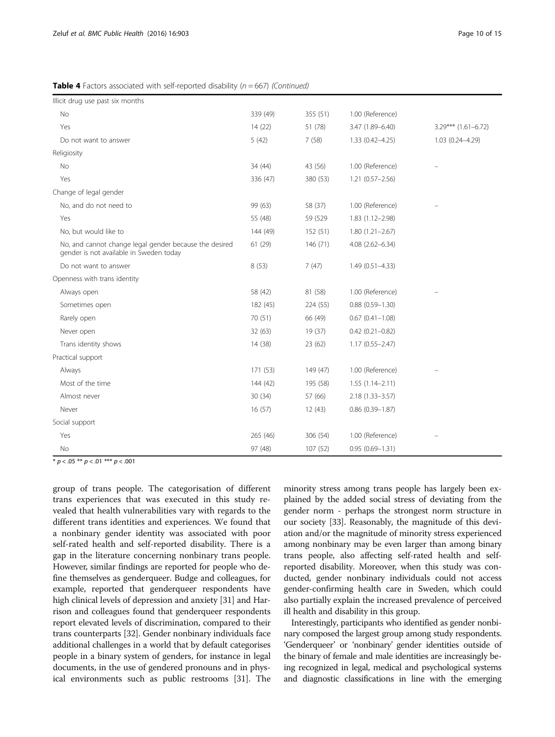**Table 4** Factors associated with self-reported disability ( $n = 667$ ) (Continued)

| Illicit drug use past six months                                                                  |          |          |                     |                       |
|---------------------------------------------------------------------------------------------------|----------|----------|---------------------|-----------------------|
| No                                                                                                | 339 (49) | 355 (51) | 1.00 (Reference)    |                       |
| Yes                                                                                               | 14(22)   | 51 (78)  | 3.47 (1.89-6.40)    | $3.29***$ (1.61-6.72) |
| Do not want to answer                                                                             | 5(42)    | 7(58)    | 1.33 (0.42-4.25)    | 1.03 (0.24-4.29)      |
| Religiosity                                                                                       |          |          |                     |                       |
| <b>No</b>                                                                                         | 34 (44)  | 43 (56)  | 1.00 (Reference)    |                       |
| Yes                                                                                               | 336 (47) | 380 (53) | $1.21(0.57 - 2.56)$ |                       |
| Change of legal gender                                                                            |          |          |                     |                       |
| No, and do not need to                                                                            | 99 (63)  | 58 (37)  | 1.00 (Reference)    |                       |
| Yes                                                                                               | 55 (48)  | 59 (529  | 1.83 (1.12-2.98)    |                       |
| No, but would like to                                                                             | 144 (49) | 152(51)  | $1.80(1.21 - 2.67)$ |                       |
| No, and cannot change legal gender because the desired<br>gender is not available in Sweden today | 61 (29)  | 146(71)  | 4.08 (2.62-6.34)    |                       |
| Do not want to answer                                                                             | 8(53)    | 7(47)    | $1.49(0.51 - 4.33)$ |                       |
| Openness with trans identity                                                                      |          |          |                     |                       |
| Always open                                                                                       | 58 (42)  | 81 (58)  | 1.00 (Reference)    |                       |
| Sometimes open                                                                                    | 182 (45) | 224 (55) | $0.88(0.59 - 1.30)$ |                       |
| Rarely open                                                                                       | 70 (51)  | 66 (49)  | $0.67(0.41 - 1.08)$ |                       |
| Never open                                                                                        | 32 (63)  | 19 (37)  | $0.42(0.21 - 0.82)$ |                       |
| Trans identity shows                                                                              | 14 (38)  | 23 (62)  | $1.17(0.55 - 2.47)$ |                       |
| Practical support                                                                                 |          |          |                     |                       |
| Always                                                                                            | 171 (53) | 149 (47) | 1.00 (Reference)    |                       |
| Most of the time                                                                                  | 144 (42) | 195 (58) | $1.55(1.14 - 2.11)$ |                       |
| Almost never                                                                                      | 30(34)   | 57 (66)  | $2.18(1.33 - 3.57)$ |                       |
| Never                                                                                             | 16(57)   | 12(43)   | $0.86(0.39 - 1.87)$ |                       |
| Social support                                                                                    |          |          |                     |                       |
| Yes                                                                                               | 265 (46) | 306 (54) | 1.00 (Reference)    |                       |
| No                                                                                                | 97 (48)  | 107 (52) | $0.95(0.69 - 1.31)$ |                       |

\*  $p < .05$  \*\*  $p < .01$  \*\*\*  $p < .001$ 

group of trans people. The categorisation of different trans experiences that was executed in this study revealed that health vulnerabilities vary with regards to the different trans identities and experiences. We found that a nonbinary gender identity was associated with poor self-rated health and self-reported disability. There is a gap in the literature concerning nonbinary trans people. However, similar findings are reported for people who define themselves as genderqueer. Budge and colleagues, for example, reported that genderqueer respondents have high clinical levels of depression and anxiety [\[31\]](#page-14-0) and Harrison and colleagues found that genderqueer respondents report elevated levels of discrimination, compared to their trans counterparts [[32](#page-14-0)]. Gender nonbinary individuals face additional challenges in a world that by default categorises people in a binary system of genders, for instance in legal documents, in the use of gendered pronouns and in physical environments such as public restrooms [\[31\]](#page-14-0). The

minority stress among trans people has largely been explained by the added social stress of deviating from the gender norm - perhaps the strongest norm structure in our society [\[33](#page-14-0)]. Reasonably, the magnitude of this deviation and/or the magnitude of minority stress experienced among nonbinary may be even larger than among binary trans people, also affecting self-rated health and selfreported disability. Moreover, when this study was conducted, gender nonbinary individuals could not access gender-confirming health care in Sweden, which could also partially explain the increased prevalence of perceived ill health and disability in this group.

Interestingly, participants who identified as gender nonbinary composed the largest group among study respondents. 'Genderqueer' or 'nonbinary' gender identities outside of the binary of female and male identities are increasingly being recognized in legal, medical and psychological systems and diagnostic classifications in line with the emerging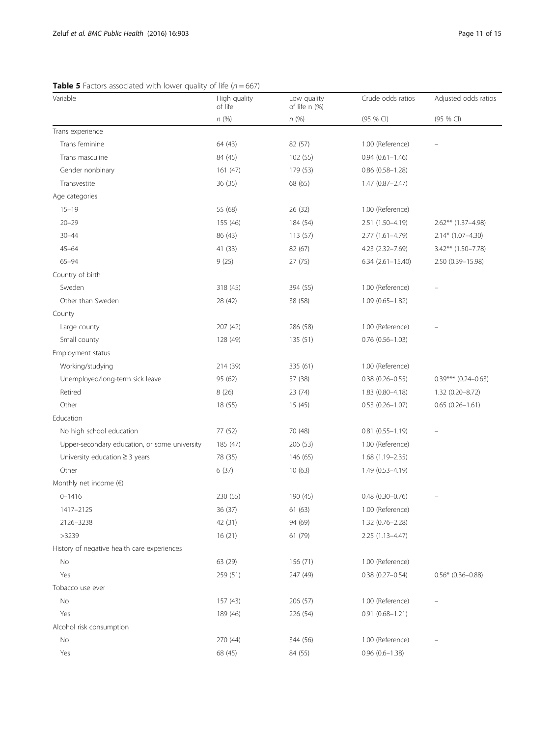<span id="page-10-0"></span>**Table 5** Factors associated with lower quality of life ( $n = 667$ )

| Variable                                      | High quality<br>of life | Low quality<br>of life n (%) | Crude odds ratios       | Adjusted odds ratios  |
|-----------------------------------------------|-------------------------|------------------------------|-------------------------|-----------------------|
|                                               | n(%)                    | n(%)                         | (95 % CI)               | (95 % CI)             |
| Trans experience                              |                         |                              |                         |                       |
| Trans feminine                                | 64 (43)                 | 82 (57)                      | 1.00 (Reference)        |                       |
| Trans masculine                               | 84 (45)                 | 102(55)                      | $0.94(0.61 - 1.46)$     |                       |
| Gender nonbinary                              | 161(47)                 | 179 (53)                     | $0.86$ $(0.58 - 1.28)$  |                       |
| Transvestite                                  | 36 (35)                 | 68 (65)                      | 1.47 (0.87-2.47)        |                       |
| Age categories                                |                         |                              |                         |                       |
| $15 - 19$                                     | 55 (68)                 | 26 (32)                      | 1.00 (Reference)        |                       |
| $20 - 29$                                     | 155 (46)                | 184 (54)                     | 2.51 (1.50-4.19)        | 2.62** (1.37-4.98)    |
| $30 - 44$                                     | 86 (43)                 | 113(57)                      | 2.77 (1.61-4.79)        | $2.14*$ (1.07-4.30)   |
| $45 - 64$                                     | 41 (33)                 | 82 (67)                      | 4.23 (2.32-7.69)        | 3.42** (1.50-7.78)    |
| $65 - 94$                                     | 9(25)                   | 27(75)                       | $6.34$ $(2.61 - 15.40)$ | 2.50 (0.39-15.98)     |
| Country of birth                              |                         |                              |                         |                       |
| Sweden                                        | 318 (45)                | 394 (55)                     | 1.00 (Reference)        |                       |
| Other than Sweden                             | 28 (42)                 | 38 (58)                      | 1.09 (0.65-1.82)        |                       |
| County                                        |                         |                              |                         |                       |
| Large county                                  | 207 (42)                | 286 (58)                     | 1.00 (Reference)        |                       |
| Small county                                  | 128 (49)                | 135 (51)                     | $0.76$ (0.56-1.03)      |                       |
| Employment status                             |                         |                              |                         |                       |
| Working/studying                              | 214 (39)                | 335 (61)                     | 1.00 (Reference)        |                       |
| Unemployed/long-term sick leave               | 95 (62)                 | 57 (38)                      | $0.38(0.26 - 0.55)$     | $0.39***$ (0.24-0.63) |
| Retired                                       | 8(26)                   | 23(74)                       | $1.83(0.80 - 4.18)$     | 1.32 (0.20-8.72)      |
| Other                                         | 18(55)                  | 15 (45)                      | $0.53(0.26 - 1.07)$     | $0.65(0.26 - 1.61)$   |
| Education                                     |                         |                              |                         |                       |
| No high school education                      | 77 (52)                 | 70 (48)                      | $0.81(0.55 - 1.19)$     |                       |
| Upper-secondary education, or some university | 185 (47)                | 206 (53)                     | 1.00 (Reference)        |                       |
| University education $\geq$ 3 years           | 78 (35)                 | 146 (65)                     | 1.68 (1.19 - 2.35)      |                       |
| Other                                         | 6(37)                   | 10(63)                       | $1.49(0.53 - 4.19)$     |                       |
| Monthly net income $(\in)$                    |                         |                              |                         |                       |
| $0 - 1416$                                    | 230 (55)                | 190 (45)                     | $0.48(0.30 - 0.76)$     |                       |
| 1417-2125                                     | 36 (37)                 | 61(63)                       | 1.00 (Reference)        |                       |
| 2126-3238                                     | 42 (31)                 | 94 (69)                      | 1.32 (0.76-2.28)        |                       |
| >3239                                         | 16(21)                  | 61 (79)                      | 2.25 (1.13-4.47)        |                       |
| History of negative health care experiences   |                         |                              |                         |                       |
| No                                            | 63 (29)                 | 156 (71)                     | 1.00 (Reference)        |                       |
| Yes                                           | 259 (51)                | 247 (49)                     | $0.38(0.27 - 0.54)$     | $0.56*$ (0.36-0.88)   |
| Tobacco use ever                              |                         |                              |                         |                       |
| No                                            | 157 (43)                | 206 (57)                     | 1.00 (Reference)        |                       |
| Yes                                           | 189 (46)                | 226 (54)                     | $0.91(0.68 - 1.21)$     |                       |
| Alcohol risk consumption                      |                         |                              |                         |                       |
| No                                            | 270 (44)                | 344 (56)                     | 1.00 (Reference)        |                       |
| Yes                                           | 68 (45)                 | 84 (55)                      | $0.96(0.6 - 1.38)$      |                       |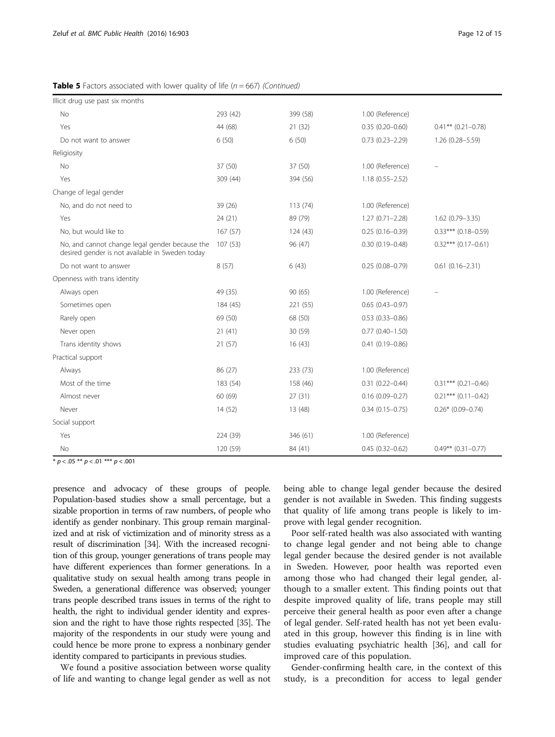**Table 5** Factors associated with lower quality of life ( $n = 667$ ) (Continued)

| Illicit drug use past six months                                                                  |          |          |                     |                         |
|---------------------------------------------------------------------------------------------------|----------|----------|---------------------|-------------------------|
| No                                                                                                | 293 (42) | 399 (58) | 1.00 (Reference)    |                         |
| Yes                                                                                               | 44 (68)  | 21(32)   | $0.35(0.20 - 0.60)$ | $0.41***$ (0.21-0.78)   |
| Do not want to answer                                                                             | 6(50)    | 6(50)    | $0.73(0.23 - 2.29)$ | 1.26 (0.28-5.59)        |
| Religiosity                                                                                       |          |          |                     |                         |
| <b>No</b>                                                                                         | 37 (50)  | 37 (50)  | 1.00 (Reference)    |                         |
| Yes                                                                                               | 309 (44) | 394 (56) | $1.18(0.55 - 2.52)$ |                         |
| Change of legal gender                                                                            |          |          |                     |                         |
| No, and do not need to                                                                            | 39 (26)  | 113(74)  | 1.00 (Reference)    |                         |
| Yes                                                                                               | 24(21)   | 89 (79)  | $1.27(0.71 - 2.28)$ | $1.62(0.79 - 3.35)$     |
| No, but would like to                                                                             | 167(57)  | 124(43)  | $0.25(0.16 - 0.39)$ | $0.33***$ (0.18-0.59)   |
| No, and cannot change legal gender because the<br>desired gender is not available in Sweden today | 107(53)  | 96 (47)  | $0.30(0.19 - 0.48)$ | $0.32***$ (0.17-0.61)   |
| Do not want to answer                                                                             | 8(57)    | 6(43)    | $0.25(0.08 - 0.79)$ | $0.61(0.16 - 2.31)$     |
| Openness with trans identity                                                                      |          |          |                     |                         |
| Always open                                                                                       | 49 (35)  | 90 (65)  | 1.00 (Reference)    |                         |
| Sometimes open                                                                                    | 184 (45) | 221 (55) | $0.65(0.43 - 0.97)$ |                         |
| Rarely open                                                                                       | 69 (50)  | 68 (50)  | $0.53(0.33 - 0.86)$ |                         |
| Never open                                                                                        | 21(41)   | 30 (59)  | $0.77(0.40 - 1.50)$ |                         |
| Trans identity shows                                                                              | 21(57)   | 16(43)   | $0.41(0.19 - 0.86)$ |                         |
| Practical support                                                                                 |          |          |                     |                         |
| Always                                                                                            | 86 (27)  | 233 (73) | 1.00 (Reference)    |                         |
| Most of the time                                                                                  | 183 (54) | 158 (46) | $0.31(0.22 - 0.44)$ | $0.31***$ $(0.21-0.46)$ |
| Almost never                                                                                      | 60 (69)  | 27(31)   | $0.16(0.09 - 0.27)$ | $0.21***$ (0.11-0.42)   |
| Never                                                                                             | 14(52)   | 13 (48)  | $0.34(0.15 - 0.75)$ | $0.26*$ (0.09-0.74)     |
| Social support                                                                                    |          |          |                     |                         |
| Yes                                                                                               | 224 (39) | 346 (61) | 1.00 (Reference)    |                         |
| <b>No</b>                                                                                         | 120 (59) | 84 (41)  | $0.45(0.32 - 0.62)$ | $0.49**$ (0.31-0.77)    |

\*  $p < .05$  \*\*  $p < .01$  \*\*\*  $p < .001$ 

presence and advocacy of these groups of people. Population-based studies show a small percentage, but a sizable proportion in terms of raw numbers, of people who identify as gender nonbinary. This group remain marginalized and at risk of victimization and of minority stress as a result of discrimination [\[34](#page-14-0)]. With the increased recognition of this group, younger generations of trans people may have different experiences than former generations. In a qualitative study on sexual health among trans people in Sweden, a generational difference was observed; younger trans people described trans issues in terms of the right to health, the right to individual gender identity and expression and the right to have those rights respected [\[35](#page-14-0)]. The majority of the respondents in our study were young and could hence be more prone to express a nonbinary gender identity compared to participants in previous studies.

We found a positive association between worse quality of life and wanting to change legal gender as well as not being able to change legal gender because the desired gender is not available in Sweden. This finding suggests that quality of life among trans people is likely to improve with legal gender recognition.

Poor self-rated health was also associated with wanting to change legal gender and not being able to change legal gender because the desired gender is not available in Sweden. However, poor health was reported even among those who had changed their legal gender, although to a smaller extent. This finding points out that despite improved quality of life, trans people may still perceive their general health as poor even after a change of legal gender. Self-rated health has not yet been evaluated in this group, however this finding is in line with studies evaluating psychiatric health [\[36](#page-14-0)], and call for improved care of this population.

Gender-confirming health care, in the context of this study, is a precondition for access to legal gender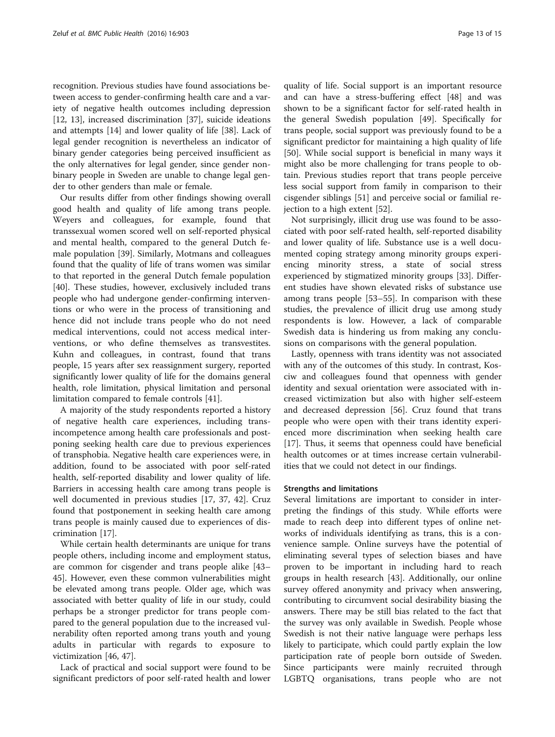recognition. Previous studies have found associations between access to gender-confirming health care and a variety of negative health outcomes including depression [[12,](#page-13-0) [13](#page-14-0)], increased discrimination [[37\]](#page-14-0), suicide ideations and attempts [[14](#page-14-0)] and lower quality of life [[38\]](#page-14-0). Lack of legal gender recognition is nevertheless an indicator of binary gender categories being perceived insufficient as the only alternatives for legal gender, since gender nonbinary people in Sweden are unable to change legal gender to other genders than male or female.

Our results differ from other findings showing overall good health and quality of life among trans people. Weyers and colleagues, for example, found that transsexual women scored well on self-reported physical and mental health, compared to the general Dutch female population [\[39](#page-14-0)]. Similarly, Motmans and colleagues found that the quality of life of trans women was similar to that reported in the general Dutch female population [[40\]](#page-14-0). These studies, however, exclusively included trans people who had undergone gender-confirming interventions or who were in the process of transitioning and hence did not include trans people who do not need medical interventions, could not access medical interventions, or who define themselves as transvestites. Kuhn and colleagues, in contrast, found that trans people, 15 years after sex reassignment surgery, reported significantly lower quality of life for the domains general health, role limitation, physical limitation and personal limitation compared to female controls [\[41](#page-14-0)].

A majority of the study respondents reported a history of negative health care experiences, including transincompetence among health care professionals and postponing seeking health care due to previous experiences of transphobia. Negative health care experiences were, in addition, found to be associated with poor self-rated health, self-reported disability and lower quality of life. Barriers in accessing health care among trans people is well documented in previous studies [[17, 37, 42](#page-14-0)]. Cruz found that postponement in seeking health care among trans people is mainly caused due to experiences of discrimination [\[17](#page-14-0)].

While certain health determinants are unique for trans people others, including income and employment status, are common for cisgender and trans people alike [[43](#page-14-0)– [45\]](#page-14-0). However, even these common vulnerabilities might be elevated among trans people. Older age, which was associated with better quality of life in our study, could perhaps be a stronger predictor for trans people compared to the general population due to the increased vulnerability often reported among trans youth and young adults in particular with regards to exposure to victimization [[46, 47](#page-14-0)].

Lack of practical and social support were found to be significant predictors of poor self-rated health and lower

quality of life. Social support is an important resource and can have a stress-buffering effect [[48\]](#page-14-0) and was shown to be a significant factor for self-rated health in the general Swedish population [\[49](#page-14-0)]. Specifically for trans people, social support was previously found to be a significant predictor for maintaining a high quality of life [[50\]](#page-14-0). While social support is beneficial in many ways it might also be more challenging for trans people to obtain. Previous studies report that trans people perceive less social support from family in comparison to their cisgender siblings [[51](#page-14-0)] and perceive social or familial rejection to a high extent [\[52\]](#page-14-0).

Not surprisingly, illicit drug use was found to be associated with poor self-rated health, self-reported disability and lower quality of life. Substance use is a well documented coping strategy among minority groups experiencing minority stress, a state of social stress experienced by stigmatized minority groups [\[33\]](#page-14-0). Different studies have shown elevated risks of substance use among trans people [[53](#page-14-0)–[55](#page-14-0)]. In comparison with these studies, the prevalence of illicit drug use among study respondents is low. However, a lack of comparable Swedish data is hindering us from making any conclusions on comparisons with the general population.

Lastly, openness with trans identity was not associated with any of the outcomes of this study. In contrast, Kosciw and colleagues found that openness with gender identity and sexual orientation were associated with increased victimization but also with higher self-esteem and decreased depression [\[56\]](#page-14-0). Cruz found that trans people who were open with their trans identity experienced more discrimination when seeking health care [[17\]](#page-14-0). Thus, it seems that openness could have beneficial health outcomes or at times increase certain vulnerabilities that we could not detect in our findings.

#### Strengths and limitations

Several limitations are important to consider in interpreting the findings of this study. While efforts were made to reach deep into different types of online networks of individuals identifying as trans, this is a convenience sample. Online surveys have the potential of eliminating several types of selection biases and have proven to be important in including hard to reach groups in health research [\[43](#page-14-0)]. Additionally, our online survey offered anonymity and privacy when answering, contributing to circumvent social desirability biasing the answers. There may be still bias related to the fact that the survey was only available in Swedish. People whose Swedish is not their native language were perhaps less likely to participate, which could partly explain the low participation rate of people born outside of Sweden. Since participants were mainly recruited through LGBTQ organisations, trans people who are not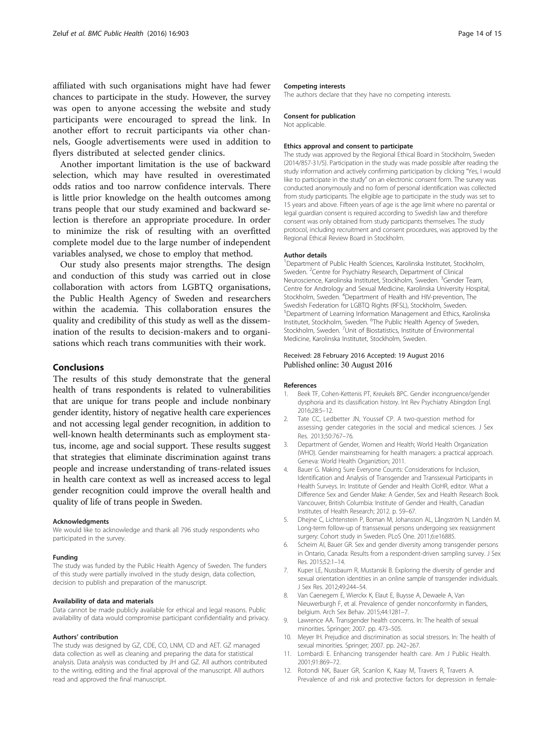<span id="page-13-0"></span>affiliated with such organisations might have had fewer chances to participate in the study. However, the survey was open to anyone accessing the website and study participants were encouraged to spread the link. In another effort to recruit participants via other channels, Google advertisements were used in addition to flyers distributed at selected gender clinics.

Another important limitation is the use of backward selection, which may have resulted in overestimated odds ratios and too narrow confidence intervals. There is little prior knowledge on the health outcomes among trans people that our study examined and backward selection is therefore an appropriate procedure. In order to minimize the risk of resulting with an overfitted complete model due to the large number of independent variables analysed, we chose to employ that method.

Our study also presents major strengths. The design and conduction of this study was carried out in close collaboration with actors from LGBTQ organisations, the Public Health Agency of Sweden and researchers within the academia. This collaboration ensures the quality and credibility of this study as well as the dissemination of the results to decision-makers and to organisations which reach trans communities with their work.

### Conclusions

The results of this study demonstrate that the general health of trans respondents is related to vulnerabilities that are unique for trans people and include nonbinary gender identity, history of negative health care experiences and not accessing legal gender recognition, in addition to well-known health determinants such as employment status, income, age and social support. These results suggest that strategies that eliminate discrimination against trans people and increase understanding of trans-related issues in health care context as well as increased access to legal gender recognition could improve the overall health and quality of life of trans people in Sweden.

#### Acknowledgments

We would like to acknowledge and thank all 796 study respondents who participated in the survey.

#### Funding

The study was funded by the Public Health Agency of Sweden. The funders of this study were partially involved in the study design, data collection, decision to publish and preparation of the manuscript.

#### Availability of data and materials

Data cannot be made publicly available for ethical and legal reasons. Public availability of data would compromise participant confidentiality and privacy.

#### Authors' contribution

The study was designed by GZ, CDE, CO, LNM, CD and AET. GZ managed data collection as well as cleaning and preparing the data for statistical analysis. Data analysis was conducted by JH and GZ. All authors contributed to the writing, editing and the final approval of the manuscript. All authors read and approved the final manuscript.

#### Competing interests

The authors declare that they have no competing interests.

#### Consent for publication

Not applicable.

#### Ethics approval and consent to participate

The study was approved by the Regional Ethical Board in Stockholm, Sweden (2014/857-31/5). Participation in the study was made possible after reading the study information and actively confirming participation by clicking "Yes, I would like to participate in the study" on an electronic consent form. The survey was conducted anonymously and no form of personal identification was collected from study participants. The eligible age to participate in the study was set to 15 years and above. Fifteen years of age is the age limit where no parental or legal guardian consent is required according to Swedish law and therefore consent was only obtained from study participants themselves. The study protocol, including recruitment and consent procedures, was approved by the Regional Ethical Review Board in Stockholm.

#### Author details

<sup>1</sup>Department of Public Health Sciences, Karolinska Institutet, Stockholm, Sweden. <sup>2</sup> Centre for Psychiatry Research, Department of Clinical Neuroscience, Karolinska Institutet, Stockholm, Sweden. <sup>3</sup>Gender Team, Centre for Andrology and Sexual Medicine, Karolinska University Hospital, Stockholm, Sweden. <sup>4</sup>Department of Health and HIV-prevention, The Swedish Federation for LGBTQ Rights (RFSL), Stockholm, Sweden. 5 Department of Learning Information Management and Ethics, Karolinska Institutet, Stockholm, Sweden. <sup>6</sup>The Public Health Agency of Sweden, Stockholm, Sweden. <sup>7</sup>Unit of Biostatistics, Institute of Environmental Medicine, Karolinska Institutet, Stockholm, Sweden.

#### Received: 28 February 2016 Accepted: 19 August 2016 Published online: 30 August 2016

#### References

- 1. Beek TF, Cohen-Kettenis PT, Kreukels BPC. Gender incongruence/gender dysphoria and its classification history. Int Rev Psychiatry Abingdon Engl. 2016;28:5–12.
- 2. Tate CC, Ledbetter JN, Youssef CP. A two-question method for assessing gender categories in the social and medical sciences. J Sex Res. 2013;50:767–76.
- 3. Department of Gender, Women and Health; World Health Organization (WHO). Gender mainstreaming for health managers: a practical approach. Geneva: World Health Organiztion; 2011.
- 4. Bauer G. Making Sure Everyone Counts: Considerations for Inclusion, Identification and Analysis of Transgender and Transsexual Participants in Health Surveys. In: Institute of Gender and Health CIoHR, editor. What a Difference Sex and Gender Make: A Gender, Sex and Health Research Book. Vancouver, British Columbia: Institute of Gender and Health, Canadian Institutes of Health Research; 2012. p. 59–67.
- 5. Dhejne C, Lichtenstein P, Boman M, Johansson AL, Långström N, Landén M. Long-term follow-up of transsexual persons undergoing sex reassignment surgery: Cohort study in Sweden. PLoS One. 2011;6:e16885.
- Scheim AI, Bauer GR. Sex and gender diversity among transgender persons in Ontario, Canada: Results from a respondent-driven sampling survey. J Sex Res. 2015;52:1–14.
- 7. Kuper LE, Nussbaum R, Mustanski B. Exploring the diversity of gender and sexual orientation identities in an online sample of transgender individuals. J Sex Res. 2012;49:244–54.
- 8. Van Caenegem E, Wierckx K, Elaut E, Buysse A, Dewaele A, Van Nieuwerburgh F, et al. Prevalence of gender nonconformity in flanders, belgium. Arch Sex Behav. 2015;44:1281–7.
- 9. Lawrence AA. Transgender health concerns. In: The health of sexual minorities. Springer; 2007. pp. 473–505.
- 10. Meyer IH. Prejudice and discrimination as social stressors. In: The health of sexual minorities. Springer; 2007. pp. 242–267.
- 11. Lombardi E. Enhancing transgender health care. Am J Public Health. 2001;91:869–72.
- 12. Rotondi NK, Bauer GR, Scanlon K, Kaay M, Travers R, Travers A. Prevalence of and risk and protective factors for depression in female-